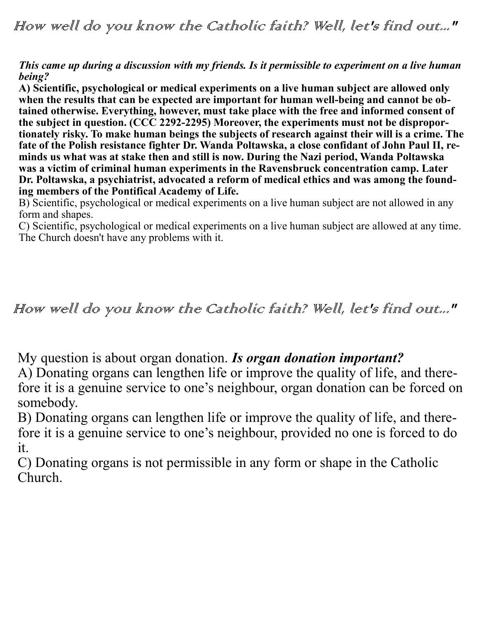### *This came up during a discussion with my friends. Is it permissible to experiment on a live human being?*

**A) Scientific, psychological or medical experiments on a live human subject are allowed only when the results that can be expected are important for human well-being and cannot be obtained otherwise. Everything, however, must take place with the free and informed consent of the subject in question. (CCC 2292-2295) Moreover, the experiments must not be disproportionately risky. To make human beings the subjects of research against their will is a crime. The fate of the Polish resistance fighter Dr. Wanda Poltawska, a close confidant of John Paul II, reminds us what was at stake then and still is now. During the Nazi period, Wanda Poltawska was a victim of criminal human experiments in the Ravensbruck concentration camp. Later Dr. Poltawska, a psychiatrist, advocated a reform of medical ethics and was among the founding members of the Pontifical Academy of Life.**

B) Scientific, psychological or medical experiments on a live human subject are not allowed in any form and shapes.

C) Scientific, psychological or medical experiments on a live human subject are allowed at any time. The Church doesn't have any problems with it.

## How well do you know the Catholic faith? Well, let's find out..."

My question is about organ donation. *Is organ donation important?*

A) Donating organs can lengthen life or improve the quality of life, and therefore it is a genuine service to one's neighbour, organ donation can be forced on somebody.

B) Donating organs can lengthen life or improve the quality of life, and therefore it is a genuine service to one's neighbour, provided no one is forced to do it.

C) Donating organs is not permissible in any form or shape in the Catholic Church.